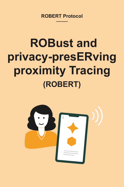## **ROBERT Protocol —**

# **ROBust and privacy-presERving proximity Tracing (ROBERT)**

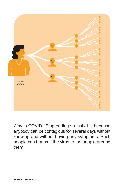



Why is COVID-19 spreading so fast? It's because anybody can be contagious for several days without knowing and without having any symptoms. Such people can transmit the virus to the people around them.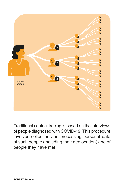

Traditional contact tracing is based on the interviews of people diagnosed with COVID-19. This procedure involves collection and processing personal data of such people (including their geolocation) and of people they have met.

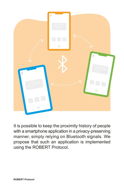

It is possible to keep the proximity history of people with a smartphone application in a privacy-preserving manner, simply relying on Bluetooth signals. We propose that such an application is implemented using the ROBERT Protocol.

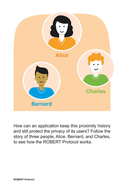

How can an application keep this proximity history and still protect the privacy of its users? Follow the story of three people, Alice, Bernard, and Charles, to see how the ROBERT Protocol works.

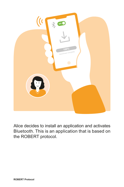### Alice decides to install an application and activates Bluetooth. This is an application that is based on the ROBERT protocol.



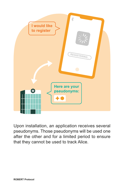

Upon installation, an application receives several pseudonyms. Those pseudonyms will be used one after the other and for a limited period to ensure that they cannot be used to track Alice.

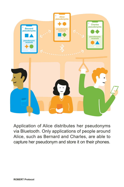

Application of Alice distributes her pseudonyms via Bluetooth. Only applications of people around Alice, such as Bernard and Charles, are able to capture her pseudonym and store it on their phones.

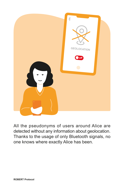All the pseudonyms of users around Alice are detected without any information about geolocation. Thanks to the usage of only Bluetooth signals, no one knows where exactly Alice has been.





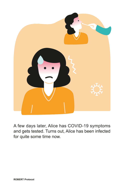



A few days later, Alice has COVID-19 symptoms and gets tested. Turns out, Alice has been infected for quite some time now.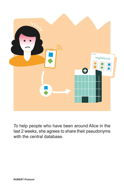

To help people who have been around Alice in the last 2 weeks, she agrees to share their pseudonyms with the central database.

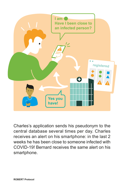

![](_page_11_Picture_2.jpeg)

Charles's application sends his pseudonym to the central database several times per day. Charles receives an alert on his smartphone: in the last 2 weeks he has been close to someone infected with COVID-19! Bernard receives the same alert on his smartphone.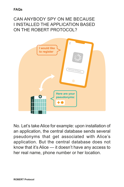![](_page_12_Picture_4.jpeg)

No. Let's take Alice for example: upon installation of an application, the central database sends several pseudonyms that get associated with Alice's application. But the central database does not know that it's Alice — it doesn't have any access to her real name, phone number or her location.

### CAN ANYBODY SPY ON ME BECAUSE I INSTALLED THE APPLICATION BASED ON THE ROBERT PROTOCOL?

**FAQs**

![](_page_12_Figure_2.jpeg)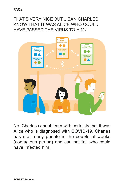![](_page_13_Figure_2.jpeg)

### THAT'S VERY NICE BUT... CAN CHARLES KNOW THAT IT WAS ALICE WHO COULD HAVE PASSED THE VIRUS TO HIM?

**FAQs**

![](_page_13_Picture_4.jpeg)

No, Charles cannot learn with certainty that it was Alice who is diagnosed with COVID-19. Charles has met many people in the couple of weeks (contagious period) and can not tell who could have infected him.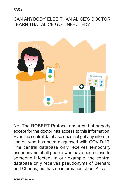#### CAN ANYBODY ELSE THAN ALICE'S DOCTOR LEARN THAT ALICE GOT INFECTED?

**FAQs**

![](_page_14_Picture_4.jpeg)

No. The ROBERT Protocol ensures that nobody except for the doctor has access to this information. Even the central database does not get any information on who has been diagnosed with COVID-19. The central database only receives temporary pseudonyms of all people who have been close to someone infected. In our example, the central database only receives pseudonyms of Bernard and Charles, but has no information about Alice.

![](_page_14_Picture_2.jpeg)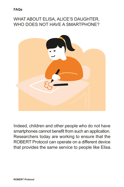#### WHAT ABOUT ELISA, ALICE'S DAUGHTER, WHO DOES NOT HAVE A SMARTPHONE?

![](_page_15_Picture_2.jpeg)

**FAQs**

![](_page_15_Picture_4.jpeg)

Indeed, children and other people who do not have smartphones cannot benefit from such an application. Researchers today are working to ensure that the ROBERT Protocol can operate on a different device that provides the same service to people like Elisa.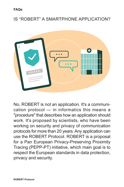#### IS "ROBERT" A SMARTPHONE APPLICATION?

![](_page_16_Figure_2.jpeg)

![](_page_16_Picture_0.jpeg)

![](_page_16_Picture_5.jpeg)

No, ROBERT is not an application. It's a communication protocol — in informatics this means a "procedure" that describes how an application should work. It's proposed by scientists, who have been working on security and privacy of communication protocols for more than 20 years. Any application can use the ROBERT Protocol. ROBERT is a proposal for a Pan European Privacy-Preserving Proximity Tracing (PEPP-PT) initiative, which main goal is to respect the European standards in data protection, privacy and security.